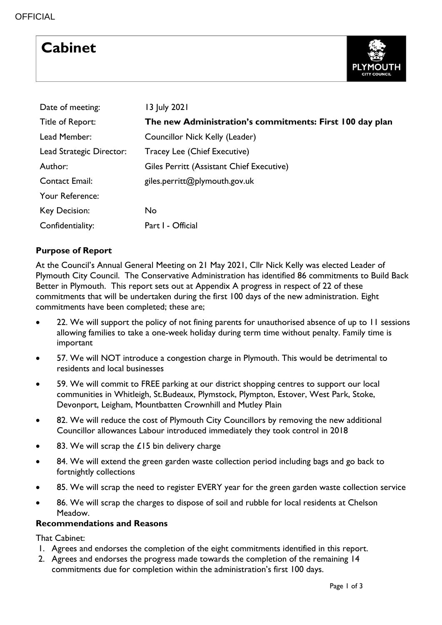# **Cabinet**



| Date of meeting:         | 13 July 2021                                             |
|--------------------------|----------------------------------------------------------|
| Title of Report:         | The new Administration's commitments: First 100 day plan |
| Lead Member:             | Councillor Nick Kelly (Leader)                           |
| Lead Strategic Director: | Tracey Lee (Chief Executive)                             |
| Author:                  | Giles Perritt (Assistant Chief Executive)                |
| <b>Contact Email:</b>    | giles.perritt@plymouth.gov.uk                            |
| Your Reference:          |                                                          |
| Key Decision:            | <b>No</b>                                                |
| Confidentiality:         | Part I - Official                                        |

# **Purpose of Report**

At the Council's Annual General Meeting on 21 May 2021, Cllr Nick Kelly was elected Leader of Plymouth City Council. The Conservative Administration has identified 86 commitments to Build Back Better in Plymouth. This report sets out at Appendix A progress in respect of 22 of these commitments that will be undertaken during the first 100 days of the new administration. Eight commitments have been completed; these are;

- 22. We will support the policy of not fining parents for unauthorised absence of up to 11 sessions allowing families to take a one-week holiday during term time without penalty. Family time is important
- 57. We will NOT introduce a congestion charge in Plymouth. This would be detrimental to residents and local businesses
- 59. We will commit to FREE parking at our district shopping centres to support our local communities in Whitleigh, St.Budeaux, Plymstock, Plympton, Estover, West Park, Stoke, Devonport, Leigham, Mountbatten Crownhill and Mutley Plain
- 82. We will reduce the cost of Plymouth City Councillors by removing the new additional Councillor allowances Labour introduced immediately they took control in 2018
- 83. We will scrap the £15 bin delivery charge
- 84. We will extend the green garden waste collection period including bags and go back to fortnightly collections
- 85. We will scrap the need to register EVERY year for the green garden waste collection service
- 86. We will scrap the charges to dispose of soil and rubble for local residents at Chelson Meadow.

### **Recommendations and Reasons**

That Cabinet:

- 1. Agrees and endorses the completion of the eight commitments identified in this report.
- 2. Agrees and endorses the progress made towards the completion of the remaining 14 commitments due for completion within the administration's first 100 days.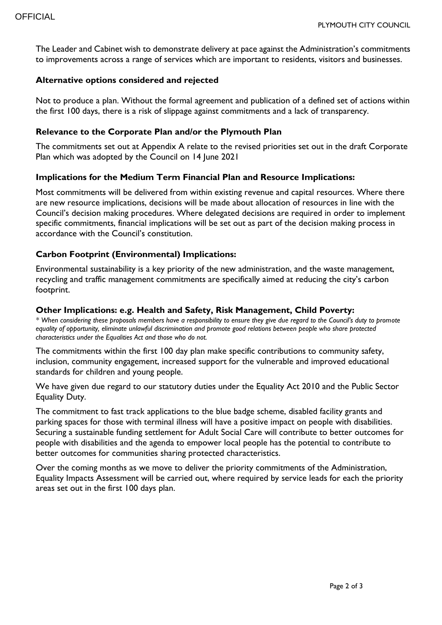The Leader and Cabinet wish to demonstrate delivery at pace against the Administration's commitments to improvements across a range of services which are important to residents, visitors and businesses.

#### **Alternative options considered and rejected**

Not to produce a plan. Without the formal agreement and publication of a defined set of actions within the first 100 days, there is a risk of slippage against commitments and a lack of transparency.

#### **Relevance to the Corporate Plan and/or the Plymouth Plan**

The commitments set out at Appendix A relate to the revised priorities set out in the draft Corporate Plan which was adopted by the Council on 14 June 2021

#### **Implications for the Medium Term Financial Plan and Resource Implications:**

Most commitments will be delivered from within existing revenue and capital resources. Where there are new resource implications, decisions will be made about allocation of resources in line with the Council's decision making procedures. Where delegated decisions are required in order to implement specific commitments, financial implications will be set out as part of the decision making process in accordance with the Council's constitution.

### **Carbon Footprint (Environmental) Implications:**

Environmental sustainability is a key priority of the new administration, and the waste management, recycling and traffic management commitments are specifically aimed at reducing the city's carbon footprint.

#### **Other Implications: e.g. Health and Safety, Risk Management, Child Poverty:**

*\* When considering these proposals members have a responsibility to ensure they give due regard to the Council's duty to promote equality of opportunity, eliminate unlawful discrimination and promote good relations between people who share protected characteristics under the Equalities Act and those who do not.*

The commitments within the first 100 day plan make specific contributions to community safety, inclusion, community engagement, increased support for the vulnerable and improved educational standards for children and young people.

We have given due regard to our statutory duties under the Equality Act 2010 and the Public Sector Equality Duty.

The commitment to fast track applications to the blue badge scheme, disabled facility grants and parking spaces for those with terminal illness will have a positive impact on people with disabilities. Securing a sustainable funding settlement for Adult Social Care will contribute to better outcomes for people with disabilities and the agenda to empower local people has the potential to contribute to better outcomes for communities sharing protected characteristics.

Over the coming months as we move to deliver the priority commitments of the Administration, Equality Impacts Assessment will be carried out, where required by service leads for each the priority areas set out in the first 100 days plan.